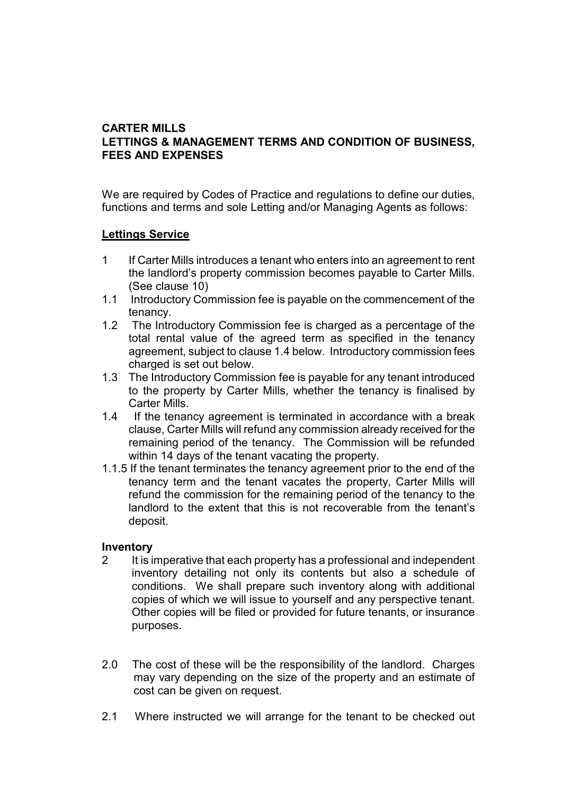## **CARTER MILLS LETTINGS & MANAGEMENT TERMS AND CONDITION OF BUSINESS, FEES AND EXPENSES**

We are required by Codes of Practice and regulations to define our duties, functions and terms and sole Letting and/or Managing Agents as follows:

#### **Lettings Service**

- 1 If Carter Mills introduces a tenant who enters into an agreement to rent the landlord's property commission becomes payable to Carter Mills. (See clause 10)
- 1.1 Introductory Commission fee is payable on the commencement of the tenancy.
- 1.2 The Introductory Commission fee is charged as a percentage of the total rental value of the agreed term as specified in the tenancy agreement, subject to clause 1.4 below. Introductory commission fees charged is set out below.
- 1.3 The Introductory Commission fee is payable for any tenant introduced to the property by Carter Mills, whether the tenancy is finalised by Carter Mills.
- 1.4 If the tenancy agreement is terminated in accordance with a break clause, Carter Mills will refund any commission already received for the remaining period of the tenancy. The Commission will be refunded within 14 days of the tenant vacating the property.
- 1.1.5 If the tenant terminates the tenancy agreement prior to the end of the tenancy term and the tenant vacates the property, Carter Mills will refund the commission for the remaining period of the tenancy to the landlord to the extent that this is not recoverable from the tenant's deposit.

#### **Inventory**

- 2 It is imperative that each property has a professional and independent inventory detailing not only its contents but also a schedule of conditions. We shall prepare such inventory along with additional copies of which we will issue to yourself and any perspective tenant. Other copies will be filed or provided for future tenants, or insurance purposes.
- 2.0 The cost of these will be the responsibility of the landlord. Charges may vary depending on the size of the property and an estimate of cost can be given on request.
- 2.1 Where instructed we will arrange for the tenant to be checked out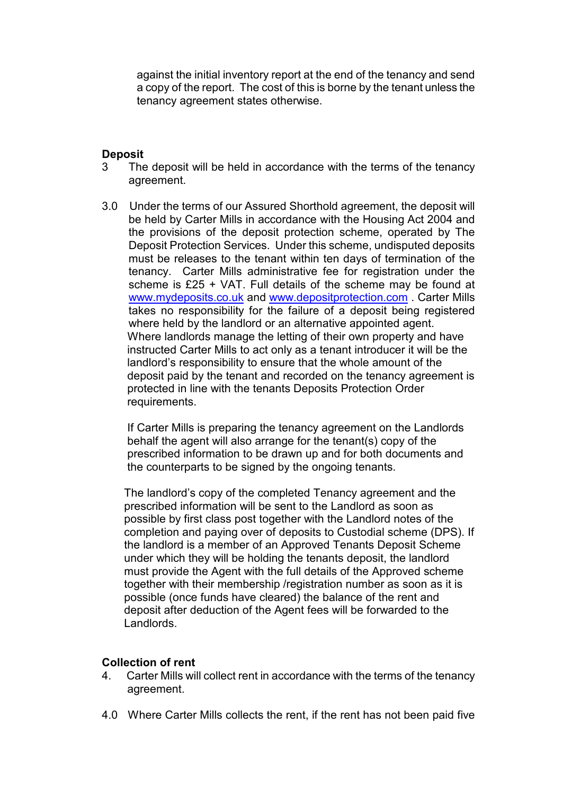against the initial inventory report at the end of the tenancy and send a copy of the report. The cost of this is borne by the tenant unless the tenancy agreement states otherwise.

#### **Deposit**

- 3 The deposit will be held in accordance with the terms of the tenancy agreement.
- 3.0 Under the terms of our Assured Shorthold agreement, the deposit will be held by Carter Mills in accordance with the Housing Act 2004 and the provisions of the deposit protection scheme, operated by The Deposit Protection Services. Under this scheme, undisputed deposits must be releases to the tenant within ten days of termination of the tenancy. Carter Mills administrative fee for registration under the scheme is £25 + VAT. Full details of the scheme may be found at www.mydeposits.co.uk and www.depositprotection.com . Carter Mills takes no responsibility for the failure of a deposit being registered where held by the landlord or an alternative appointed agent. Where landlords manage the letting of their own property and have instructed Carter Mills to act only as a tenant introducer it will be the landlord's responsibility to ensure that the whole amount of the deposit paid by the tenant and recorded on the tenancy agreement is protected in line with the tenants Deposits Protection Order requirements.

 If Carter Mills is preparing the tenancy agreement on the Landlords behalf the agent will also arrange for the tenant(s) copy of the prescribed information to be drawn up and for both documents and the counterparts to be signed by the ongoing tenants.

 The landlord's copy of the completed Tenancy agreement and the prescribed information will be sent to the Landlord as soon as possible by first class post together with the Landlord notes of the completion and paying over of deposits to Custodial scheme (DPS). If the landlord is a member of an Approved Tenants Deposit Scheme under which they will be holding the tenants deposit, the landlord must provide the Agent with the full details of the Approved scheme together with their membership /registration number as soon as it is possible (once funds have cleared) the balance of the rent and deposit after deduction of the Agent fees will be forwarded to the Landlords.

#### **Collection of rent**

- 4. Carter Mills will collect rent in accordance with the terms of the tenancy agreement.
- 4.0 Where Carter Mills collects the rent, if the rent has not been paid five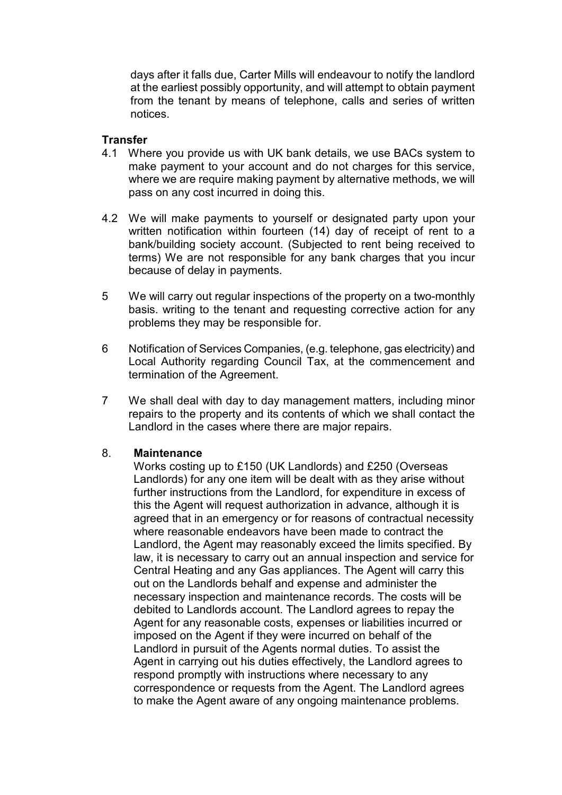days after it falls due, Carter Mills will endeavour to notify the landlord at the earliest possibly opportunity, and will attempt to obtain payment from the tenant by means of telephone, calls and series of written notices.

### **Transfer**

- 4.1 Where you provide us with UK bank details, we use BACs system to make payment to your account and do not charges for this service, where we are require making payment by alternative methods, we will pass on any cost incurred in doing this.
- 4.2 We will make payments to yourself or designated party upon your written notification within fourteen (14) day of receipt of rent to a bank/building society account. (Subjected to rent being received to terms) We are not responsible for any bank charges that you incur because of delay in payments.
- 5 We will carry out regular inspections of the property on a two-monthly basis. writing to the tenant and requesting corrective action for any problems they may be responsible for.
- 6 Notification of Services Companies, (e.g. telephone, gas electricity) and Local Authority regarding Council Tax, at the commencement and termination of the Agreement.
- 7 We shall deal with day to day management matters, including minor repairs to the property and its contents of which we shall contact the Landlord in the cases where there are major repairs.

#### 8. **Maintenance**

 Works costing up to £150 (UK Landlords) and £250 (Overseas Landlords) for any one item will be dealt with as they arise without further instructions from the Landlord, for expenditure in excess of this the Agent will request authorization in advance, although it is agreed that in an emergency or for reasons of contractual necessity where reasonable endeavors have been made to contract the Landlord, the Agent may reasonably exceed the limits specified. By law, it is necessary to carry out an annual inspection and service for Central Heating and any Gas appliances. The Agent will carry this out on the Landlords behalf and expense and administer the necessary inspection and maintenance records. The costs will be debited to Landlords account. The Landlord agrees to repay the Agent for any reasonable costs, expenses or liabilities incurred or imposed on the Agent if they were incurred on behalf of the Landlord in pursuit of the Agents normal duties. To assist the Agent in carrying out his duties effectively, the Landlord agrees to respond promptly with instructions where necessary to any correspondence or requests from the Agent. The Landlord agrees to make the Agent aware of any ongoing maintenance problems.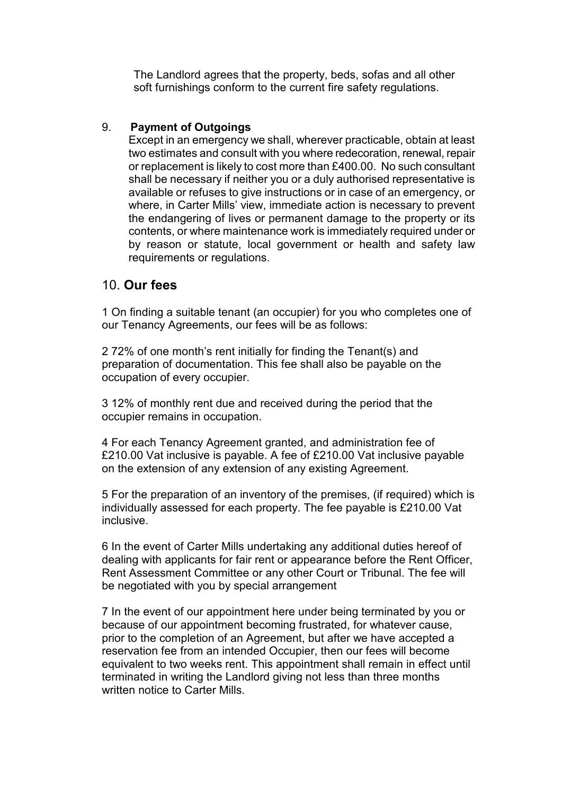The Landlord agrees that the property, beds, sofas and all other soft furnishings conform to the current fire safety regulations.

## 9. **Payment of Outgoings**

 Except in an emergency we shall, wherever practicable, obtain at least two estimates and consult with you where redecoration, renewal, repair or replacement is likely to cost more than £400.00. No such consultant shall be necessary if neither you or a duly authorised representative is available or refuses to give instructions or in case of an emergency, or where, in Carter Mills' view, immediate action is necessary to prevent the endangering of lives or permanent damage to the property or its contents, or where maintenance work is immediately required under or by reason or statute, local government or health and safety law requirements or regulations.

# 10. **Our fees**

1 On finding a suitable tenant (an occupier) for you who completes one of our Tenancy Agreements, our fees will be as follows:

2 72% of one month's rent initially for finding the Tenant(s) and preparation of documentation. This fee shall also be payable on the occupation of every occupier.

3 12% of monthly rent due and received during the period that the occupier remains in occupation.

4 For each Tenancy Agreement granted, and administration fee of £210.00 Vat inclusive is payable. A fee of £210.00 Vat inclusive payable on the extension of any extension of any existing Agreement.

5 For the preparation of an inventory of the premises, (if required) which is individually assessed for each property. The fee payable is £210.00 Vat inclusive.

6 In the event of Carter Mills undertaking any additional duties hereof of dealing with applicants for fair rent or appearance before the Rent Officer, Rent Assessment Committee or any other Court or Tribunal. The fee will be negotiated with you by special arrangement

7 In the event of our appointment here under being terminated by you or because of our appointment becoming frustrated, for whatever cause, prior to the completion of an Agreement, but after we have accepted a reservation fee from an intended Occupier, then our fees will become equivalent to two weeks rent. This appointment shall remain in effect until terminated in writing the Landlord giving not less than three months written notice to Carter Mills.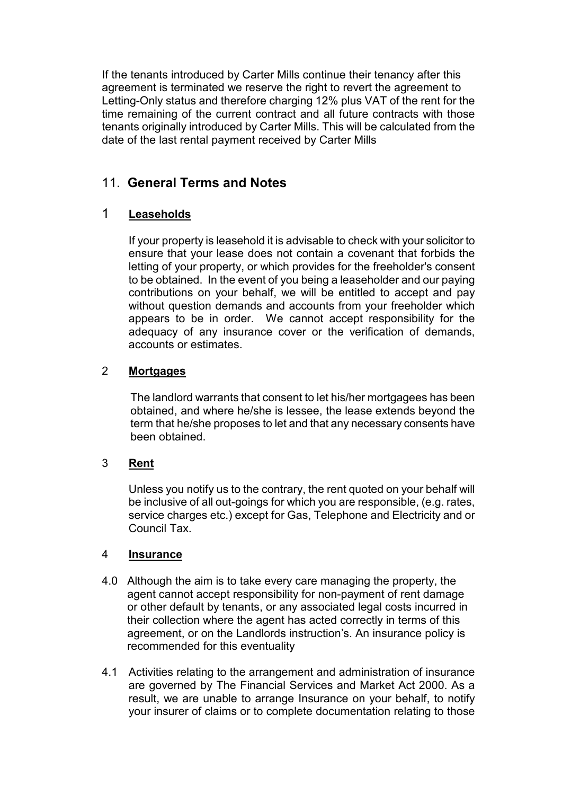If the tenants introduced by Carter Mills continue their tenancy after this agreement is terminated we reserve the right to revert the agreement to Letting-Only status and therefore charging 12% plus VAT of the rent for the time remaining of the current contract and all future contracts with those tenants originally introduced by Carter Mills. This will be calculated from the date of the last rental payment received by Carter Mills

# 11. **General Terms and Notes**

# 1 **Leaseholds**

 If your property is leasehold it is advisable to check with your solicitor to ensure that your lease does not contain a covenant that forbids the letting of your property, or which provides for the freeholder's consent to be obtained. In the event of you being a leaseholder and our paying contributions on your behalf, we will be entitled to accept and pay without question demands and accounts from your freeholder which appears to be in order. We cannot accept responsibility for the adequacy of any insurance cover or the verification of demands, accounts or estimates.

# 2 **Mortgages**

 The landlord warrants that consent to let his/her mortgagees has been obtained, and where he/she is lessee, the lease extends beyond the term that he/she proposes to let and that any necessary consents have been obtained.

# 3 **Rent**

 Unless you notify us to the contrary, the rent quoted on your behalf will be inclusive of all out-goings for which you are responsible, (e.g. rates, service charges etc.) except for Gas, Telephone and Electricity and or Council Tax.

# 4 **Insurance**

- 4.0 Although the aim is to take every care managing the property, the agent cannot accept responsibility for non-payment of rent damage or other default by tenants, or any associated legal costs incurred in their collection where the agent has acted correctly in terms of this agreement, or on the Landlords instruction's. An insurance policy is recommended for this eventuality
- 4.1 Activities relating to the arrangement and administration of insurance are governed by The Financial Services and Market Act 2000. As a result, we are unable to arrange Insurance on your behalf, to notify your insurer of claims or to complete documentation relating to those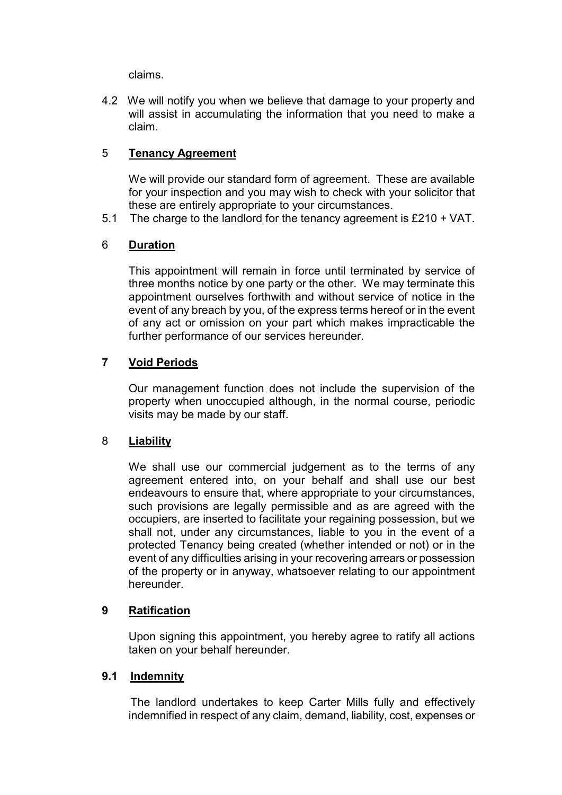claims.

4.2 We will notify you when we believe that damage to your property and will assist in accumulating the information that you need to make a claim.

## 5 **Tenancy Agreement**

 We will provide our standard form of agreement. These are available for your inspection and you may wish to check with your solicitor that these are entirely appropriate to your circumstances.

5.1 The charge to the landlord for the tenancy agreement is £210 + VAT.

## 6 **Duration**

 This appointment will remain in force until terminated by service of three months notice by one party or the other. We may terminate this appointment ourselves forthwith and without service of notice in the event of any breach by you, of the express terms hereof or in the event of any act or omission on your part which makes impracticable the further performance of our services hereunder.

## **7 Void Periods**

 Our management function does not include the supervision of the property when unoccupied although, in the normal course, periodic visits may be made by our staff.

#### 8 **Liability**

 We shall use our commercial judgement as to the terms of any agreement entered into, on your behalf and shall use our best endeavours to ensure that, where appropriate to your circumstances, such provisions are legally permissible and as are agreed with the occupiers, are inserted to facilitate your regaining possession, but we shall not, under any circumstances, liable to you in the event of a protected Tenancy being created (whether intended or not) or in the event of any difficulties arising in your recovering arrears or possession of the property or in anyway, whatsoever relating to our appointment hereunder.

#### **9 Ratification**

 Upon signing this appointment, you hereby agree to ratify all actions taken on your behalf hereunder.

#### **9.1 Indemnity**

The landlord undertakes to keep Carter Mills fully and effectively indemnified in respect of any claim, demand, liability, cost, expenses or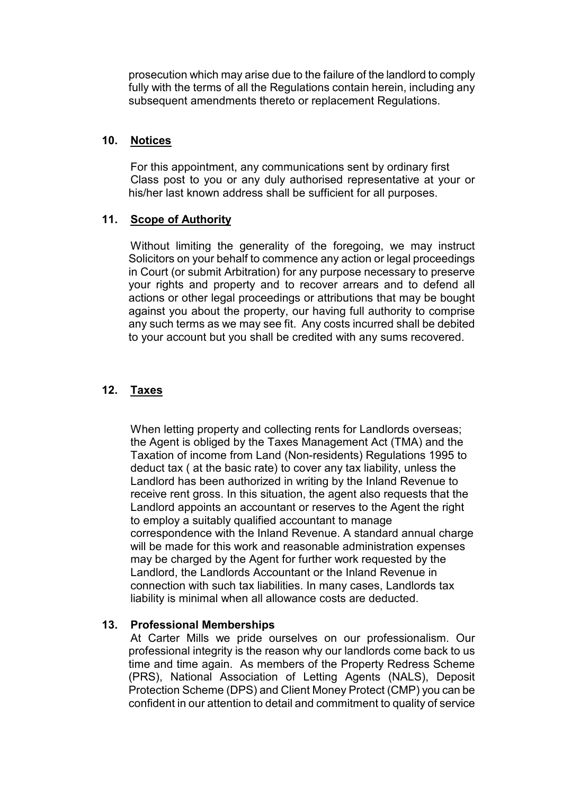prosecution which may arise due to the failure of the landlord to comply fully with the terms of all the Regulations contain herein, including any subsequent amendments thereto or replacement Regulations.

### **10. Notices**

 For this appointment, any communications sent by ordinary first Class post to you or any duly authorised representative at your or his/her last known address shall be sufficient for all purposes.

# **11. Scope of Authority**

 Without limiting the generality of the foregoing, we may instruct Solicitors on your behalf to commence any action or legal proceedings in Court (or submit Arbitration) for any purpose necessary to preserve your rights and property and to recover arrears and to defend all actions or other legal proceedings or attributions that may be bought against you about the property, our having full authority to comprise any such terms as we may see fit. Any costs incurred shall be debited to your account but you shall be credited with any sums recovered.

# **12. Taxes**

 When letting property and collecting rents for Landlords overseas; the Agent is obliged by the Taxes Management Act (TMA) and the Taxation of income from Land (Non-residents) Regulations 1995 to deduct tax ( at the basic rate) to cover any tax liability, unless the Landlord has been authorized in writing by the Inland Revenue to receive rent gross. In this situation, the agent also requests that the Landlord appoints an accountant or reserves to the Agent the right to employ a suitably qualified accountant to manage correspondence with the Inland Revenue. A standard annual charge will be made for this work and reasonable administration expenses may be charged by the Agent for further work requested by the Landlord, the Landlords Accountant or the Inland Revenue in connection with such tax liabilities. In many cases, Landlords tax liability is minimal when all allowance costs are deducted.

# **13. Professional Memberships**

At Carter Mills we pride ourselves on our professionalism. Our professional integrity is the reason why our landlords come back to us time and time again. As members of the Property Redress Scheme (PRS), National Association of Letting Agents (NALS), Deposit Protection Scheme (DPS) and Client Money Protect (CMP) you can be confident in our attention to detail and commitment to quality of service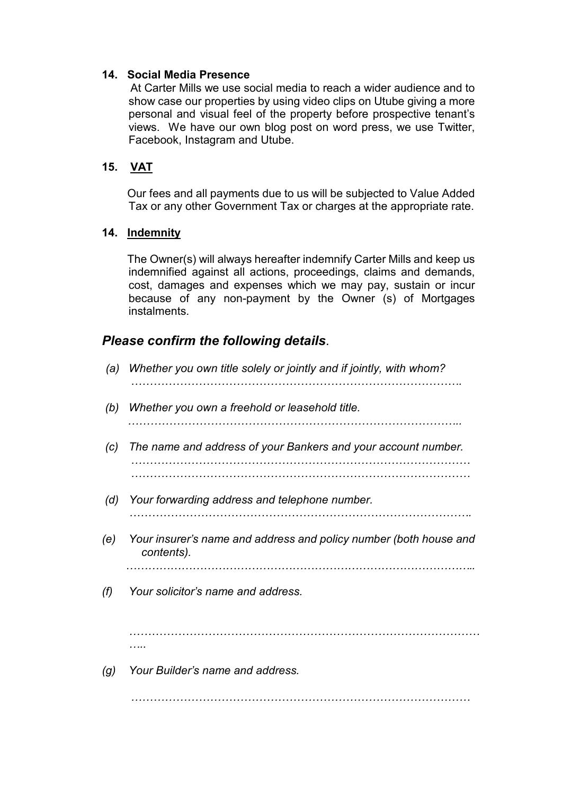### **14. Social Media Presence**

At Carter Mills we use social media to reach a wider audience and to show case our properties by using video clips on Utube giving a more personal and visual feel of the property before prospective tenant's views. We have our own blog post on word press, we use Twitter, Facebook, Instagram and Utube.

# **15. VAT**

 Our fees and all payments due to us will be subjected to Value Added Tax or any other Government Tax or charges at the appropriate rate.

## **14. Indemnity**

 The Owner(s) will always hereafter indemnify Carter Mills and keep us indemnified against all actions, proceedings, claims and demands, cost, damages and expenses which we may pay, sustain or incur because of any non-payment by the Owner (s) of Mortgages instalments.

# *Please confirm the following details*.

| (a) | Whether you own title solely or jointly and if jointly, with whom?              |
|-----|---------------------------------------------------------------------------------|
| (b) | Whether you own a freehold or leasehold title.                                  |
| (c) | The name and address of your Bankers and your account number.                   |
| (d) | Your forwarding address and telephone number.                                   |
| (e) | Your insurer's name and address and policy number (both house and<br>contents). |
| (f) | Your solicitor's name and address.                                              |
|     |                                                                                 |
| (g) | Your Builder's name and address.                                                |
|     |                                                                                 |